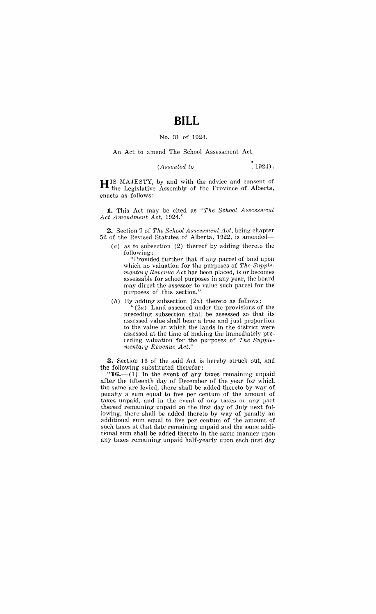## **BILL**

## No. 31 of 1924.

An Act to amend The School Assessment Act.

## $.1924$ .  $(Associated to$

H IS MAJESTY, by and with the advice and consent of . the Legislative Assembly of the Province of Alberta, enacts as follows:

**1.** This Act may be cited as *"The School Assessment Act Amendment Act, 1924."* 

**2.** Section 7 of *The School Asscssmcnt Act,* being' chapter 52 of the Revised Statutes of Alberta, 1922, is amended-

(a) as to subsection (2) thereof by adding thereto the following:

"Provided further that if any parcel of land upon which no valuation for the purposes of *The Supplementary Revenue Act* has been placed, is or becomes assessable for school purposes in any year, the board may direct the assessor to value such parcel for the purposes of this section."

(b) By adding subsection  $(2a)$  thereto as follows:

 $"$ (2a) Land assessed under the provisions of the preceding subsection shall be assessed so that its assessed value shall bear a true and just proportion to the value at which the lands in the district were assessed at the time of making the immediately preceding valuation for the purposes of *The Supplementary Revenue Act."* 

**3.** Section 16 of the said Act is hereby struck out, and the following substituted therefor:

" $16.$  (1) In the event of any taxes remaining unpaid after the fifteenth day of December of the year for which the same are levied, there shall be added thereto by way of penalty a sum equal to five per centum of the amount of taxes unpaid, and in the event of any taxes or any part thereof remaining unpaid on the first day of July next following, there shall be added thereto by way of penalty an additional sum equal to five per centum of the amount of such taxes at that date remaining unpaid and the same additional sum shall be added thereto in the same manner upon any taxes remaining unpaid half-yearly upon each first day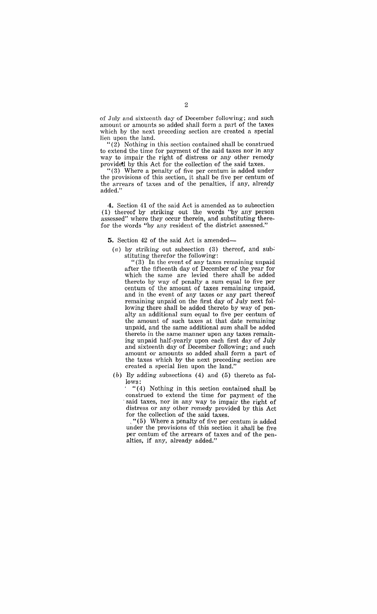of July and sixteenth day of December following; and such amount or amounts so added shall form a part of the taxes which by the next preceding section are created a special lien upon the land.

"(2) Nothing in this section contained shall be construed to extend the time for payment of the said taxes nor in any way to impair the right of distress or any other remedy providetl by this Act for the collection of the said taxes.

" (3) Where a penalty of five per centum is added under the provisions of this section, it shall be five per centum of the arrears of taxes and of the penalties, if any, already added." The contract of the contract of the contract of the contract of the contract of the contract of the contract of the contract of the contract of the contract of the contract of the contract of the contract of the co

**4.** Section 41 of the said Act is amended as to subsection (1) thereof by striking out the words "by any person assessed" where they occur therein, and substituting therefor the words "by any resident of the district assessed."

**5.** Section 42 of the said Act is amended-

(a) by striking out subsection (3) thereof, and substituting therefor the following:

"(3) In the event of any taxes remaining unpaid after the fifteenth day of December of the year for which the same are levied there shall be added thereto by way of penalty a sum equal to five per centum of the amount of taxes remaining unpaid, and in the event of any taxes or any part thereof remaining unpaid on the first day of July next following there shall be added thereto by way of penalty an additional sum equal to five per centum of the amount of such taxes at that date remaining unpaid, and the same additional sum shall be added thereto in the same manner upon any taxes remaining unpaid half-yearly upon each first day of July and sixteenth day of December following; and such amount or amounts so added shall form a part of the taxes which by the next preceding section are created a special lien upon the land."

(b) By adding subsections (4) and (5) thereto as follows:

 $(4)$  Nothing in this section contained shall be construed to extend the time for payment of the said taxes, nor in any way to impair the right of distress or any other remedy provided by this Act for the collection of the said taxes.

, "( 5) Where a penalty of five per centum is added under the provisions of this section it shall be five per centum of the arrears of taxes and of the penalties, if any, already added."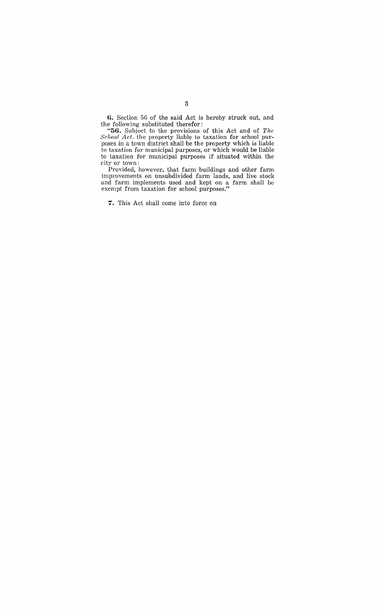**6.** Section 56 of the said Act is hereby struck out, and the following substituted therefor:

**"56.** Subject to the provisions of this Act and of *The School Act.* the property liable to taxation for school purposes in a town district shall be the property which is liable to taxation for municipal purposes, or which would be liable to taxation for municipal purposes if situated within the city or town:

Provided, however, that farm buildings and other farm improvements on unsubdivided farm lands, and live stock and farm implements used and kept on a farm shall be exempt from taxation for school purposes,"

7. This Act shall come into force on